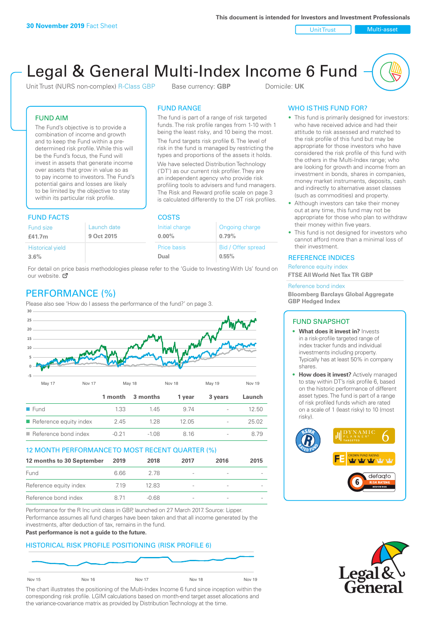Unit Trust Nulti-asset

# Legal & General Multi-Index Income 6 Fund

Unit Trust (NURS non-complex) R-Class GBP Base currency: **GBP** Domicile: UK

The fund is part of a range of risk targeted funds. The risk profile ranges from 1-10 with 1 being the least risky, and 10 being the most. The fund targets risk profile 6. The level of risk in the fund is managed by restricting the types and proportions of the assets it holds. We have selected Distribution Technology ('DT') as our current risk profiler. They are an independent agency who provide risk profiling tools to advisers and fund managers. The Risk and Reward profile scale on page 3 is calculated differently to the DT risk profiles.

FUND RANGE

## FUND AIM

The Fund's objective is to provide a combination of income and growth and to keep the Fund within a predetermined risk profile. While this will be the Fund's focus, the Fund will invest in assets that generate income over assets that grow in value so as to pay income to investors. The Fund's potential gains and losses are likely to be limited by the objective to stay within its particular risk profile.

## FUND FACTS COSTS

| .                       |             |                    |                    |  |
|-------------------------|-------------|--------------------|--------------------|--|
| <b>Fund size</b>        | Launch date | Initial charge     | Ongoing charge     |  |
| £41.7m                  | 9 Oct 2015  | $0.00\%$           | 0.79%              |  |
| <b>Historical yield</b> |             | <b>Price basis</b> | Bid / Offer spread |  |
| 3.6%                    |             | Dual               | 0.55%              |  |

For detail on price basis methodologies please refer to the 'Guide to Investing With Us' found on our website. Ø

# PERFORMANCE (%)

Please also see 'How do I assess the performance of the fund?' on page 3.



## 12 MONTH PERFORMANCE TO MOST RECENT QUARTER (%)

| 12 months to 30 September | 2019 | 2018  | 2017                     | 2016 | 2015 |
|---------------------------|------|-------|--------------------------|------|------|
| Fund                      | 6.66 | 278   | $\overline{\phantom{a}}$ |      |      |
| Reference equity index    | 719  | 12.83 | $\qquad \qquad$          |      |      |
| Reference bond index      | 8.71 | -0.68 | $\overline{\phantom{a}}$ |      |      |

Performance for the R Inc unit class in GBP, launched on 27 March 2017. Source: Lipper. Performance assumes all fund charges have been taken and that all income generated by the investments, after deduction of tax, remains in the fund.

#### **Past performance is not a guide to the future.**

## HISTORICAL RISK PROFILE POSITIONING (RISK PROFILE 6)



The chart illustrates the positioning of the Multi-Index Income 6 fund since inception within the corresponding risk profile. LGIM calculations based on month-end target asset allocations and the variance-covariance matrix as provided by Distribution Technology at the time.

## WHO IS THIS FUND FOR?

- This fund is primarily designed for investors: who have received advice and had their attitude to risk assessed and matched to the risk profile of this fund but may be appropriate for those investors who have considered the risk profile of this fund with the others in the Multi-Index range; who are looking for growth and income from an investment in bonds, shares in companies, money market instruments, deposits, cash and indirectly to alternative asset classes (such as commodities) and property.
- Although investors can take their money out at any time, this fund may not be appropriate for those who plan to withdraw their money within five years.
- This fund is not designed for investors who cannot afford more than a minimal loss of their investment.

## REFERENCE INDICES

Reference equity index **FTSE All World Net Tax TR GBP**

#### Reference bond index

**Bloomberg Barclays Global Aggregate GBP Hedged Index**

## FUND SNAPSHOT

- **• What does it invest in?** Invests in a risk-profile targeted range of index tracker funds and individual investments including property. Typically has at least 50% in company shares.
- **• How does it invest?** Actively managed to stay within DT's risk profile 6, based on the historic performance of different asset types. The fund is part of a range of risk profiled funds which are rated on a scale of 1 (least risky) to 10 (most risky).



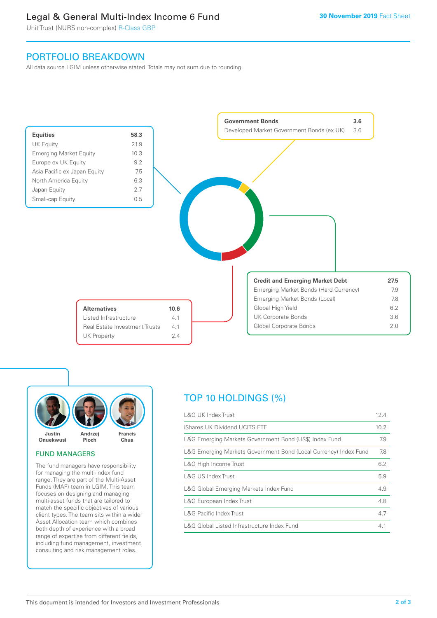# Legal & General Multi-Index Income 6 Fund

Unit Trust (NURS non-complex) R-Class GBP

# PORTFOLIO BREAKDOWN

All data source LGIM unless otherwise stated. Totals may not sum due to rounding.





## FUND MANAGERS

The fund managers have responsibility for managing the multi-index fund range. They are part of the Multi-Asset Funds (MAF) team in LGIM. This team focuses on designing and managing multi-asset funds that are tailored to match the specific objectives of various client types. The team sits within a wider Asset Allocation team which combines both depth of experience with a broad range of expertise from different fields, including fund management, investment consulting and risk management roles.

# TOP 10 HOLDINGS (%)

| <b>L&amp;G UK Index Trust</b>                                    | 12.4 |
|------------------------------------------------------------------|------|
| iShares UK Dividend UCITS ETF                                    | 10.2 |
| L&G Emerging Markets Government Bond (US\$) Index Fund           | 7.9  |
| L&G Emerging Markets Government Bond (Local Currency) Index Fund | 7.8  |
| L&G High Income Trust                                            | 6.2  |
| L&G US Index Trust                                               | 5.9  |
| L&G Global Emerging Markets Index Fund                           | 4.9  |
| L&G European Index Trust                                         | 4.8  |
| <b>L&amp;G Pacific Index Trust</b>                               | 4.7  |
| L&G Global Listed Infrastructure Index Fund                      | 4.1  |